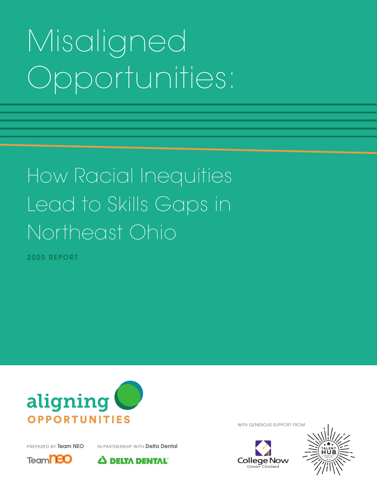# Misaligned Opportunities:

## How Racial Inequities Lead to Skills Gaps in Northeast Ohio

2020 REPORT



PREPARED BY Team NEO IN PARTNERSHIP WITH Delta Dental





WITH GENEROUS SUPPORT FROM



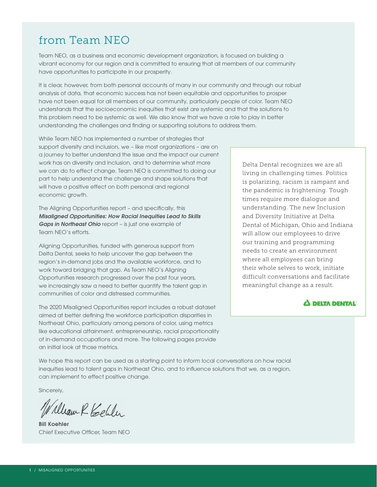## from Team NEO

Team NEO, as a business and economic development organization, is focused on building a vibrant economy for our region and is committed to ensuring that all members of our community have opportunities to participate in our prosperity.

It is clear, however, from both personal accounts of many in our community and through our robust analysis of data, that economic success has not been equitable and opportunities to prosper have not been equal for all members of our community, particularly people of color. Team NEO understands that the socioeconomic inequities that exist are systemic and that the solutions to this problem need to be systemic as well. We also know that we have a role to play in better understanding the challenges and finding or supporting solutions to address them.

While Team NEO has implemented a number of strategies that support diversity and inclusion, we – like most organizations – are on a journey to better understand the issue and the impact our current work has on diversity and inclusion, and to determine what more we can do to effect change. Team NEO is committed to doing our part to help understand the challenge and shape solutions that will have a positive effect on both personal and regional economic growth.

The Aligning Opportunities report – and specifically, this *Misaligned Opportunities: How Racial Inequities Lead to Skills Gaps in Northeast Ohio* report – is just one example of Team NEO's efforts.

Aligning Opportunities, funded with generous support from Delta Dental, seeks to help uncover the gap between the region's in-demand jobs and the available workforce, and to work toward bridging that gap. As Team NEO's Aligning Opportunities research progressed over the past four years, we increasingly saw a need to better quantify the talent gap in communities of color and distressed communities.

The 2020 Misaligned Opportunities report includes a robust dataset aimed at better defining the workforce participation disparities in Northeast Ohio, particularly among persons of color, using metrics like educational attainment, entrepreneurship, racial proportionality of in-demand occupations and more. The following pages provide an initial look at those metrics.

We hope this report can be used as a starting point to inform local conversations on how racial inequities lead to talent gaps in Northeast Ohio, and to influence solutions that we, as a region, can implement to effect positive change.

Sincerely,

William R. Keller

Bill Koehler Chief Executive Officer, Team NEO

Delta Dental recognizes we are all living in challenging times. Politics is polarizing, racism is rampant and the pandemic is frightening. Tough times require more dialogue and understanding. The new Inclusion and Diversity Initiative at Delta Dental of Michigan, Ohio and Indiana will allow our employees to drive our training and programming needs to create an environment where all employees can bring their whole selves to work, initiate difficult conversations and facilitate meaningful change as a result.

#### $\Delta$  DELTA DENTAL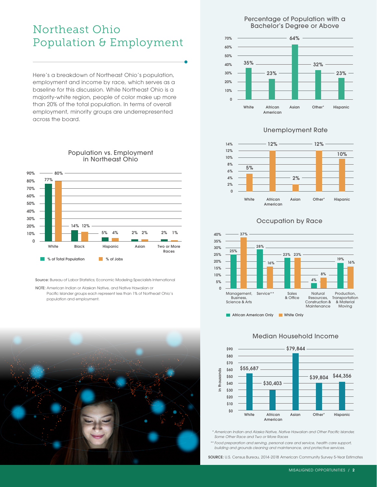## Northeast Ohio Population & Employment

Here's a breakdown of Northeast Ohio's population, employment and income by race, which serves as a baseline for this discussion. While Northeast Ohio is a majority-white region, people of color make up more than 20% of the total population. In terms of overall employment, minority groups are underrepresented across the board.



Population vs. Employment in Northeast Ohio

Source: Bureau of Labor Statistics; Economic Modeling Specialists International

NOTE: American Indian or Alaskan Native, and Native Hawaiian or Pacific Islander groups each represent less than 1% of Northeast Ohio's population and employment.



Percentage of Population with a Bachelor's Degree or Above



#### Unemployment Rate



#### Occupation by Race



**African American Only Community White Only** 



#### Median Household Income

 *\* American Indian and Alaska Native, Native Hawaiian and Other Pacific Islander, Some Other Race and Two or More Races*

 *\*\* Food preparation and serving, personal care and service, health care support, building and grounds cleaning and maintenance, and protective services.*

SOURCE: U.S. Census Bureau, 2014-2018 American Community Survey 5-Year Estimates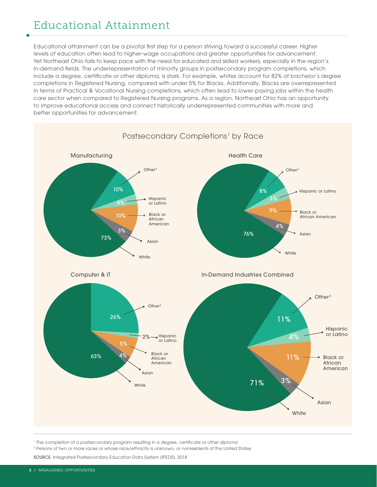## Educational Attainment

Educational attainment can be a pivotal first step for a person striving toward a successful career. Higher levels of education often lead to higher-wage occupations and greater opportunities for advancement. Yet Northeast Ohio fails to keep pace with the need for educated and skilled workers, especially in the region's in-demand fields. The underrepresentation of minority groups in postsecondary program completions, which include a degree, certificate or other diploma, is stark. For example, whites account for 82% of bachelor's degree completions in Registered Nursing, compared with under 5% for Blacks. Additionally, Blacks are overrepresented in terms of Practical & Vocational Nursing completions, which often lead to lower-paying jobs within the health care sector when compared to Registered Nursing programs. As a region, Northeast Ohio has an opportunity to improve educational access and connect historically underrepresented communities with more and better opportunities for advancement.



1 The completion of a postsecondary program resulting in a degree, certificate or other diploma

2 Persons of two or more races or whose race/ethnicity is unknown, or nonresidents of the United States

SOURCE: Integrated Postsecondary Education Data System (IPEDS), 2018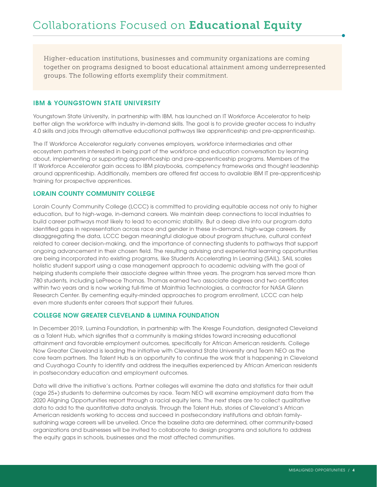Higher-education institutions, businesses and community organizations are coming together on programs designed to boost educational attainment among underrepresented groups. The following efforts exemplify their commitment.

#### IBM & YOUNGSTOWN STATE UNIVERSITY

Youngstown State University, in partnership with IBM, has launched an IT Workforce Accelerator to help better align the workforce with industry in-demand skills. The goal is to provide greater access to industry 4.0 skills and jobs through alternative educational pathways like apprenticeship and pre-apprenticeship.

The IT Workforce Accelerator regularly convenes employers, workforce intermediaries and other ecosystem partners interested in being part of the workforce and education conversation by learning about, implementing or supporting apprenticeship and pre-apprenticeship programs. Members of the IT Workforce Accelerator gain access to IBM playbooks, competency frameworks and thought leadership around apprenticeship. Additionally, members are offered first access to available IBM IT pre-apprenticeship training for prospective apprentices.

#### LORAIN COUNTY COMMUNITY COLLEGE

Lorain County Community College (LCCC) is committed to providing equitable access not only to higher education, but to high-wage, in-demand careers. We maintain deep connections to local industries to build career pathways most likely to lead to economic stability. But a deep dive into our program data identified gaps in representation across race and gender in these in-demand, high-wage careers. By disaggregating the data, LCCC began meaningful dialogue about program structure, cultural context related to career decision-making, and the importance of connecting students to pathways that support ongoing advancement in their chosen field. The resulting advising and experiential learning opportunities are being incorporated into existing programs, like Students Accelerating In Learning (SAIL). SAIL scales holistic student support using a case management approach to academic advising with the goal of helping students complete their associate degree within three years. The program has served more than 780 students, including LePreece Thomas. Thomas earned two associate degrees and two certificates within two years and is now working full-time at Mainthia Technologies, a contractor for NASA Glenn Research Center. By cementing equity-minded approaches to program enrollment, LCCC can help even more students enter careers that support their futures.

#### COLLEGE NOW GREATER CLEVELAND & LUMINA FOUNDATION

In December 2019, Lumina Foundation, in partnership with The Kresge Foundation, designated Cleveland as a Talent Hub, which signifies that a community is making strides toward increasing educational attainment and favorable employment outcomes, specifically for African American residents. College Now Greater Cleveland is leading the initiative with Cleveland State University and Team NEO as the core team partners. The Talent Hub is an opportunity to continue the work that is happening in Cleveland and Cuyahoga County to identify and address the inequities experienced by African American residents in postsecondary education and employment outcomes.

Data will drive the initiative's actions. Partner colleges will examine the data and statistics for their adult (age 25+) students to determine outcomes by race. Team NEO will examine employment data from the 2020 Aligning Opportunities report through a racial equity lens. The next steps are to collect qualitative data to add to the quantitative data analysis. Through the Talent Hub, stories of Cleveland's African American residents working to access and succeed in postsecondary institutions and obtain familysustaining wage careers will be unveiled. Once the baseline data are determined, other community-based organizations and businesses will be invited to collaborate to design programs and solutions to address the equity gaps in schools, businesses and the most affected communities.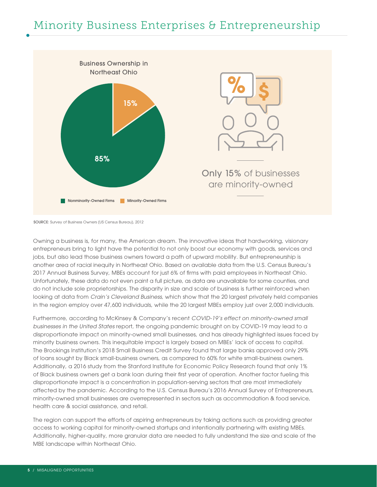## Minority Business Enterprises & Entrepreneurship



SOURCE: Survey of Business Owners (US Census Bureau), 2012

Owning a business is, for many, the American dream. The innovative ideas that hardworking, visionary entrepreneurs bring to light have the potential to not only boost our economy with goods, services and jobs, but also lead those business owners toward a path of upward mobility. But entrepreneurship is another area of racial inequity in Northeast Ohio. Based on available data from the U.S. Census Bureau's 2017 Annual Business Survey, MBEs account for just 6% of firms with paid employees in Northeast Ohio. Unfortunately, these data do not even paint a full picture, as data are unavailable for some counties, and do not include sole proprietorships. The disparity in size and scale of business is further reinforced when looking at data from *Crain's Cleveland Business*, which show that the 20 largest privately held companies in the region employ over 47,600 individuals, while the 20 largest MBEs employ just over 2,000 individuals.

Furthermore, according to McKinsey & Company's recent *COVID-19's effect on minority-owned small businesses in the United States* report, the ongoing pandemic brought on by COVID-19 may lead to a disproportionate impact on minority-owned small businesses, and has already highlighted issues faced by minority business owners. This inequitable impact is largely based on MBEs' lack of access to capital. The Brookings Institution's 2018 Small Business Credit Survey found that large banks approved only 29% of loans sought by Black small-business owners, as compared to 60% for white small-business owners. Additionally, a 2016 study from the Stanford Institute for Economic Policy Research found that only 1% of Black business owners get a bank loan during their first year of operation. Another factor fueling this disproportionate impact is a concentration in population-serving sectors that are most immediately affected by the pandemic. According to the U.S. Census Bureau's 2016 Annual Survey of Entrepreneurs, minority-owned small businesses are overrepresented in sectors such as accommodation & food service, health care & social assistance, and retail.

The region can support the efforts of aspiring entrepreneurs by taking actions such as providing greater access to working capital for minority-owned startups and intentionally partnering with existing MBEs. Additionally, higher-quality, more granular data are needed to fully understand the size and scale of the MBE landscape within Northeast Ohio.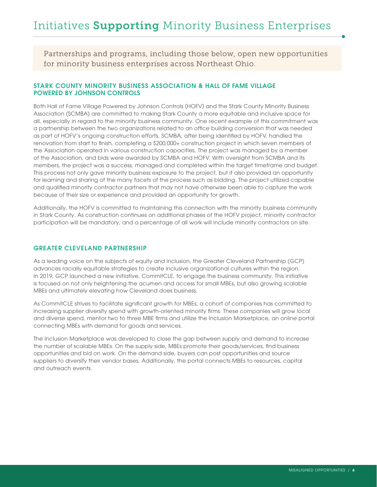Partnerships and programs, including those below, open new opportunities for minority business enterprises across Northeast Ohio.

#### STARK COUNTY MINORITY BUSINESS ASSOCIATION & HALL OF FAME VILLAGE POWERED BY JOHNSON CONTROLS

Both Hall of Fame Village Powered by Johnson Controls (HOFV) and the Stark County Minority Business Association (SCMBA) are committed to making Stark County a more equitable and inclusive space for all, especially in regard to the minority business community. One recent example of this commitment was a partnership between the two organizations related to an office building conversion that was needed as part of HOFV's ongoing construction efforts. SCMBA, after being identified by HOFV, handled the renovation from start to finish, completing a \$200,000+ construction project in which seven members of the Association operated in various construction capacities. The project was managed by a member of the Association, and bids were awarded by SCMBA and HOFV. With oversight from SCMBA and its members, the project was a success, managed and completed within the target timeframe and budget. This process not only gave minority business exposure to the project, but it also provided an opportunity for learning and sharing of the many facets of the process such as bidding. The project utilized capable and qualified minority contractor partners that may not have otherwise been able to capture the work because of their size or experience and provided an opportunity for growth.

Additionally, the HOFV is committed to maintaining this connection with the minority business community in Stark County. As construction continues on additional phases of the HOFV project, minority contractor participation will be mandatory, and a percentage of all work will include minority contractors on site.

#### GREATER CLEVELAND PARTNERSHIP

As a leading voice on the subjects of equity and inclusion, the Greater Cleveland Partnership (GCP) advances racially equitable strategies to create inclusive organizational cultures within the region. In 2019, GCP launched a new initiative, CommitCLE, to engage the business community. This initiative is focused on not only heightening the acumen and access for small MBEs, but also growing scalable MBEs and ultimately elevating how Cleveland does business.

As CommitCLE strives to facilitate significant growth for MBEs, a cohort of companies has committed to increasing supplier diversity spend with growth-oriented minority firms. These companies will grow local and diverse spend, mentor two to three MBE firms and utilize the Inclusion Marketplace, an online portal connecting MBEs with demand for goods and services.

The Inclusion Marketplace was developed to close the gap between supply and demand to increase the number of scalable MBEs. On the supply side, MBEs promote their goods/services, find business opportunities and bid on work. On the demand side, buyers can post opportunities and source suppliers to diversify their vendor bases. Additionally, the portal connects MBEs to resources, capital and outreach events.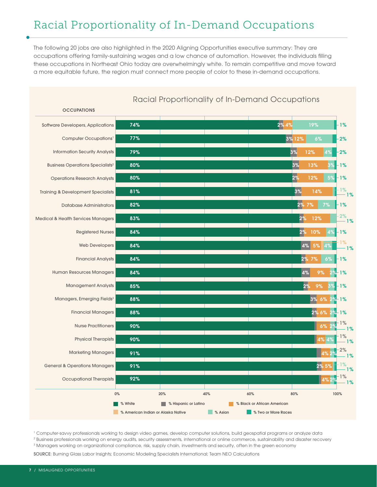## Racial Proportionality of In-Demand Occupations

The following 20 jobs are also highlighted in the 2020 Aligning Opportunities executive summary: They are occupations offering family-sustaining wages and a low chance of automation. However, the individuals filling these occupations in Northeast Ohio today are overwhelmingly white. To remain competitive and move toward a more equitable future, the region must connect more people of color to these in-demand occupations.

#### **OCCUPATIONS** % White **1989 We Mission State of Latino 1999 We Black or African American 8 %** American Indian or Alaska Native **8 % Assume 19 % Two or More Races**  $0\%$  20% 20% 40% 60% 60% 80% 80% 100% Software Developers, Applications Computer Occupations<sup>1</sup> Information Security Analysts Business Operations Specialists2 Operations Research Analysts Training & Development Specialists Database Administrators Medical & Health Services Managers Registered Nurses Web Developers Financial Analysts Human Resources Managers Management Analysts Managers, Emerging Fields<sup>3</sup> Financial Managers Nurse Practitioners Physical Therapists Marketing Managers General & Operations Managers Occupational Therapists 74% 2% 4% 19% 77% 3% 12% 6% 2% 79% 3% 12% 4% 2% 80% 1% 1% 3% 13% 3% 80% 1% 1% 2% 12% 5%  $\Delta$ % 81% 1% 1% 1% 1%  $3\%$  14% 2% 1% 1% 82% 2% 7% 7% 1% 83% 2% 12% 84% 2% 10% 4%84% 4% 5% 4% 84% 2% 7% 6% <mark>-</mark> 1% <sub>2%</sub> 7% 6% - 1% 7% 7% 7% 7% 7% 1% 84% 4% 9% 2% 1% 85% 2% 9% 3% <mark>1%</mark> 2% 9% 3% 1% 88% 3% 6% 2% 1% 6% 1% 6% 1% 6% 2% 1% 6% 2% 1% 6% 2% 1% 6% 2% 1% 88% 2% 6% 2% 1% 90% 6% 2% 90% 1%  $4\%$   $4\%$   $1\%$ 91% 4% 2% 1% 2% 91% 2% 5% 1<mark>2% 1% 2% 5% 12% 1% 2% 5% 12% 1%</mark> 1% 92% 4% 2% 1% 1%

#### Racial Proportionality of In-Demand Occupations

1 Computer-savvy professionals working to design video games, develop computer solutions, build geospatial programs or analyze data

2 Business professionals working on energy audits, security assessments, international or online commerce, sustainability and disaster recovery

3 Managers working on organizational compliance, risk, supply chain, investments and security, often in the green economy

SOURCE: Burning Glass Labor Insights; Economic Modeling Specialists International; Team NEO Calculations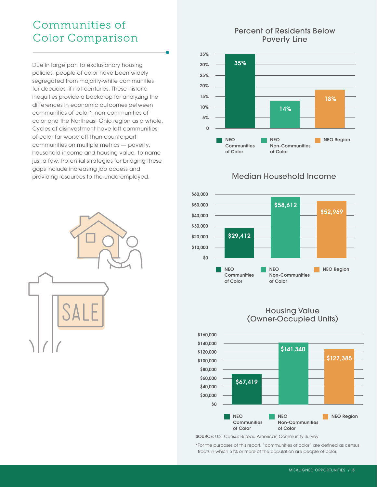## Communities of Color Comparison

Due in large part to exclusionary housing policies, people of color have been widely segregated from majority-white communities for decades, if not centuries. These historic inequities provide a backdrop for analyzing the differences in economic outcomes between communities of color\*, non-communities of color and the Northeast Ohio region as a whole. Cycles of disinvestment have left communities of color far worse off than counterpart communities on multiple metrics — poverty, household income and housing value, to name just a few. Potential strategies for bridging these gaps include increasing job access and providing resources to the underemployed.



#### Percent of Residents Below Poverty Line



#### Median Household Income



Housing Value (Owner-Occupied Units)



SOURCE: U.S. Census Bureau American Community Survey

\*For the purposes of this report, "communities of color" are defined as census tracts in which 51% or more of the population are people of color.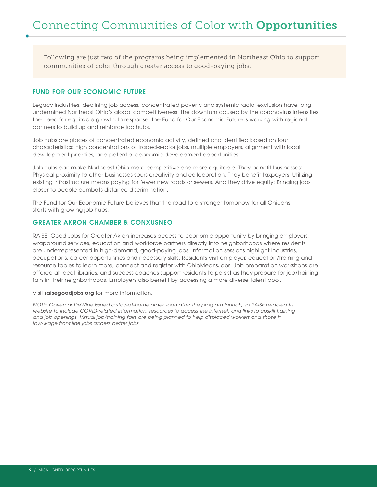Following are just two of the programs being implemented in Northeast Ohio to support communities of color through greater access to good-paying jobs.

#### FUND FOR OUR ECONOMIC FUTURE

Legacy industries, declining job access, concentrated poverty and systemic racial exclusion have long undermined Northeast Ohio's global competitiveness. The downturn caused by the coronavirus intensifies the need for equitable growth. In response, the Fund for Our Economic Future is working with regional partners to build up and reinforce job hubs.

Job hubs are places of concentrated economic activity, defined and identified based on four characteristics: high concentrations of traded-sector jobs, multiple employers, alignment with local development priorities, and potential economic development opportunities.

Job hubs can make Northeast Ohio more competitive and more equitable. They benefit businesses: Physical proximity to other businesses spurs creativity and collaboration. They benefit taxpayers: Utilizing existing infrastructure means paying for fewer new roads or sewers. And they drive equity: Bringing jobs closer to people combats distance discrimination.

The Fund for Our Economic Future believes that the road to a stronger tomorrow for all Ohioans starts with growing job hubs.

#### GREATER AKRON CHAMBER & CONXUSNEO

RAISE: Good Jobs for Greater Akron increases access to economic opportunity by bringing employers, wraparound services, education and workforce partners directly into neighborhoods where residents are underrepresented in high-demand, good-paying jobs. Information sessions highlight industries, occupations, career opportunities and necessary skills. Residents visit employer, education/training and resource tables to learn more, connect and register with OhioMeansJobs. Job preparation workshops are offered at local libraries, and success coaches support residents to persist as they prepare for job/training fairs in their neighborhoods. Employers also benefit by accessing a more diverse talent pool.

Visit raisegoodjobs.org for more information.

*NOTE: Governor DeWine issued a stay-at-home order soon after the program launch, so RAISE retooled its website to include COVID-related information, resources to access the internet, and links to upskill training and job openings. Virtual job/training fairs are being planned to help displaced workers and those in low-wage front line jobs access better jobs.*